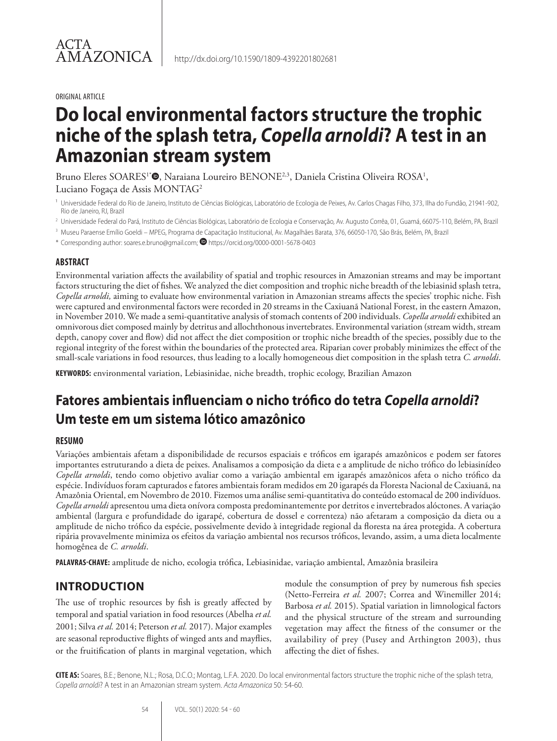#### ORIGINAL ARTICLE

# **Do local environmental factors structure the trophic niche of the splash tetra,** *Copella arnoldi***? A test in an Amazonian stream system**

Bruno Eleres SOARES<sup>1</sup><sup>\*</sup>. Naraiana Loureiro BENONE<sup>2,3</sup>, Daniela Cristina Oliveira ROSA<sup>1</sup>, Luciano Fogaça de Assis MONTAG2

<sup>1</sup> Universidade Federal do Rio de Janeiro, Instituto de Ciências Biológicas, Laboratório de Ecologia de Peixes, Av. Carlos Chagas Filho, 373, Ilha do Fundão, 21941-902, Rio de Janeiro, RJ, Brazil

<sup>2</sup> Universidade Federal do Pará, Instituto de Ciências Biológicas, Laboratório de Ecologia e Conservação, Av. Augusto Corrêa, 01, Guamá, 66075-110, Belém, PA, Brazil

<sup>3</sup> Museu Paraense Emílio Goeldi – MPEG, Programa de Capacitação Institucional, Av. Magalhães Barata, 376, 66050-170, São Brás, Belém, PA, Brazil

\* Corresponding author: soares.e.bruno@gmail.com; https://orcid.org/0000-0001-5678-0403

#### **ABSTRACT**

Environmental variation affects the availability of spatial and trophic resources in Amazonian streams and may be important factors structuring the diet of fishes. We analyzed the diet composition and trophic niche breadth of the lebiasinid splash tetra, *Copella arnoldi,* aiming to evaluate how environmental variation in Amazonian streams affects the species' trophic niche. Fish were captured and environmental factors were recorded in 20 streams in the Caxiuanã National Forest, in the eastern Amazon, in November 2010. We made a semi-quantitative analysis of stomach contents of 200 individuals. *Copella arnoldi* exhibited an omnivorous diet composed mainly by detritus and allochthonous invertebrates. Environmental variation (stream width, stream depth, canopy cover and flow) did not affect the diet composition or trophic niche breadth of the species, possibly due to the regional integrity of the forest within the boundaries of the protected area. Riparian cover probably minimizes the effect of the small-scale variations in food resources, thus leading to a locally homogeneous diet composition in the splash tetra *C. arnoldi*.

**KEYWORDS:** environmental variation, Lebiasinidae, niche breadth, trophic ecology, Brazilian Amazon

## **Fatores ambientais influenciam o nicho trófico do tetra** *Copella arnoldi***? Um teste em um sistema lótico amazônico**

#### **RESUMO**

Variações ambientais afetam a disponibilidade de recursos espaciais e tróficos em igarapés amazônicos e podem ser fatores importantes estruturando a dieta de peixes. Analisamos a composição da dieta e a amplitude de nicho trófico do lebiasinídeo *Copella arnoldi*, tendo como objetivo avaliar como a variação ambiental em igarapés amazônicos afeta o nicho trófico da espécie. Indivíduos foram capturados e fatores ambientais foram medidos em 20 igarapés da Floresta Nacional de Caxiuanã, na Amazônia Oriental, em Novembro de 2010. Fizemos uma análise semi-quantitativa do conteúdo estomacal de 200 indivíduos. *Copella arnoldi* apresentou uma dieta onívora composta predominantemente por detritos e invertebrados alóctones. A variação ambiental (largura e profundidade do igarapé, cobertura de dossel e correnteza) não afetaram a composição da dieta ou a amplitude de nicho trófico da espécie, possivelmente devido à integridade regional da floresta na área protegida. A cobertura ripária provavelmente minimiza os efeitos da variação ambiental nos recursos tróficos, levando, assim, a uma dieta localmente homogênea de *C. arnoldi*.

**PALAVRAS-CHAVE:** amplitude de nicho, ecologia trófica, Lebiasinidae, variação ambiental, Amazônia brasileira

## **INTRODUCTION**

The use of trophic resources by fish is greatly affected by temporal and spatial variation in food resources (Abelha *et al.* 2001; Silva *et al.* 2014; Peterson *et al.* 2017). Major examples are seasonal reproductive flights of winged ants and mayflies, or the fruitification of plants in marginal vegetation, which module the consumption of prey by numerous fish species (Netto-Ferreira *et al.* 2007; Correa and Winemiller 2014; Barbosa *et al.* 2015). Spatial variation in limnological factors and the physical structure of the stream and surrounding vegetation may affect the fitness of the consumer or the availability of prey (Pusey and Arthington 2003), thus affecting the diet of fishes.

**CITE AS:** Soares, B.E.; Benone, N.L.; Rosa, D.C.O.; Montag, L.F.A. 2020. Do local environmental factors structure the trophic niche of the splash tetra, *Copella arnoldi*? A test in an Amazonian stream system. *Acta Amazonica* 50: 54-60.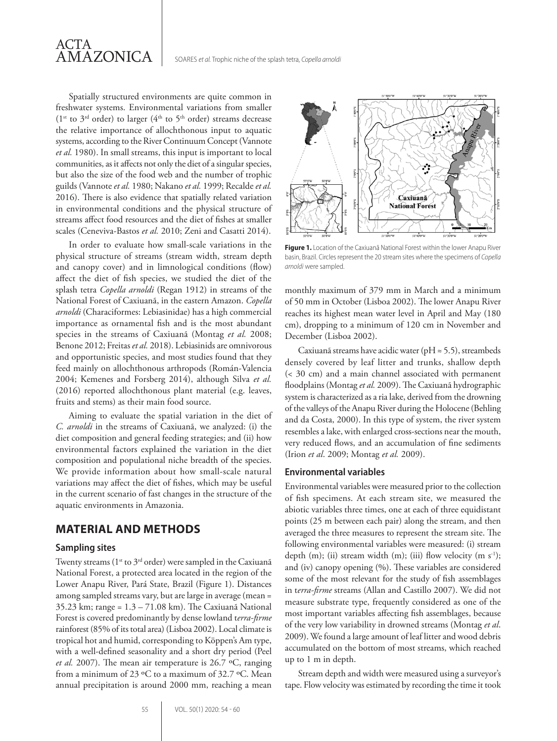

Spatially structured environments are quite common in freshwater systems. Environmental variations from smaller ( $1^{st}$  to  $3^{rd}$  order) to larger ( $4^{th}$  to  $5^{th}$  order) streams decrease the relative importance of allochthonous input to aquatic systems, according to the River Continuum Concept (Vannote *et al.* 1980). In small streams, this input is important to local communities, as it affects not only the diet of a singular species, but also the size of the food web and the number of trophic guilds (Vannote *et al.* 1980; Nakano *et al.* 1999; Recalde *et al.* 2016). There is also evidence that spatially related variation in environmental conditions and the physical structure of streams affect food resources and the diet of fishes at smaller scales (Ceneviva-Bastos *et al.* 2010; Zeni and Casatti 2014).

In order to evaluate how small-scale variations in the physical structure of streams (stream width, stream depth and canopy cover) and in limnological conditions (flow) affect the diet of fish species, we studied the diet of the splash tetra *Copella arnoldi* (Regan 1912) in streams of the National Forest of Caxiuanã, in the eastern Amazon. *Copella arnoldi* (Characiformes: Lebiasinidae) has a high commercial importance as ornamental fish and is the most abundant species in the streams of Caxiuanã (Montag *et al.* 2008; Benone 2012; Freitas *et al.* 2018). Lebiasinids are omnivorous and opportunistic species, and most studies found that they feed mainly on allochthonous arthropods (Román-Valencia 2004; Kemenes and Forsberg 2014), although Silva *et al.* (2016) reported allochthonous plant material (e.g. leaves, fruits and stems) as their main food source.

Aiming to evaluate the spatial variation in the diet of *C. arnoldi* in the streams of Caxiuanã, we analyzed: (i) the diet composition and general feeding strategies; and (ii) how environmental factors explained the variation in the diet composition and populational niche breadth of the species. We provide information about how small-scale natural variations may affect the diet of fishes, which may be useful in the current scenario of fast changes in the structure of the aquatic environments in Amazonia.

## **MATERIAL AND METHODS**

#### **Sampling sites**

Twenty streams (1<sup>st</sup> to 3<sup>rd</sup> order) were sampled in the Caxiuanã National Forest, a protected area located in the region of the Lower Anapu River, Pará State, Brazil (Figure 1). Distances among sampled streams vary, but are large in average (mean = 35.23 km; range = 1.3 – 71.08 km). The Caxiuanã National Forest is covered predominantly by dense lowland t*erra-firme* rainforest (85% of its total area) (Lisboa 2002). Local climate is tropical hot and humid, corresponding to Köppen's Am type, with a well-defined seasonality and a short dry period (Peel *et al.* 2007). The mean air temperature is 26.7 ºC, ranging from a minimum of 23 ºC to a maximum of 32.7 ºC. Mean annual precipitation is around 2000 mm, reaching a mean



**Figure 1.** Location of the Caxiuanã National Forest within the lower Anapu River basin, Brazil. Circles represent the 20 stream sites where the specimens of *Copella arnoldi* were sampled.

monthly maximum of 379 mm in March and a minimum of 50 mm in October (Lisboa 2002). The lower Anapu River reaches its highest mean water level in April and May (180 cm), dropping to a minimum of 120 cm in November and December (Lisboa 2002).

Caxiuanã streams have acidic water (pH  $\approx$  5.5), streambeds densely covered by leaf litter and trunks, shallow depth (< 30 cm) and a main channel associated with permanent floodplains (Montag *et al.* 2009). The Caxiuanã hydrographic system is characterized as a ria lake, derived from the drowning of the valleys of the Anapu River during the Holocene (Behling and da Costa, 2000). In this type of system, the river system resembles a lake, with enlarged cross-sections near the mouth, very reduced flows, and an accumulation of fine sediments (Irion *et al*. 2009; Montag *et al.* 2009).

#### **Environmental variables**

Environmental variables were measured prior to the collection of fish specimens. At each stream site, we measured the abiotic variables three times, one at each of three equidistant points (25 m between each pair) along the stream, and then averaged the three measures to represent the stream site. The following environmental variables were measured: (i) stream depth (m); (ii) stream width (m); (iii) flow velocity (m s<sup>-1</sup>); and (iv) canopy opening (%). These variables are considered some of the most relevant for the study of fish assemblages in t*erra-firme* streams (Allan and Castillo 2007). We did not measure substrate type, frequently considered as one of the most important variables affecting fish assemblages, because of the very low variability in drowned streams (Montag *et al*. 2009). We found a large amount of leaf litter and wood debris accumulated on the bottom of most streams, which reached up to 1 m in depth.

Stream depth and width were measured using a surveyor's tape. Flow velocity was estimated by recording the time it took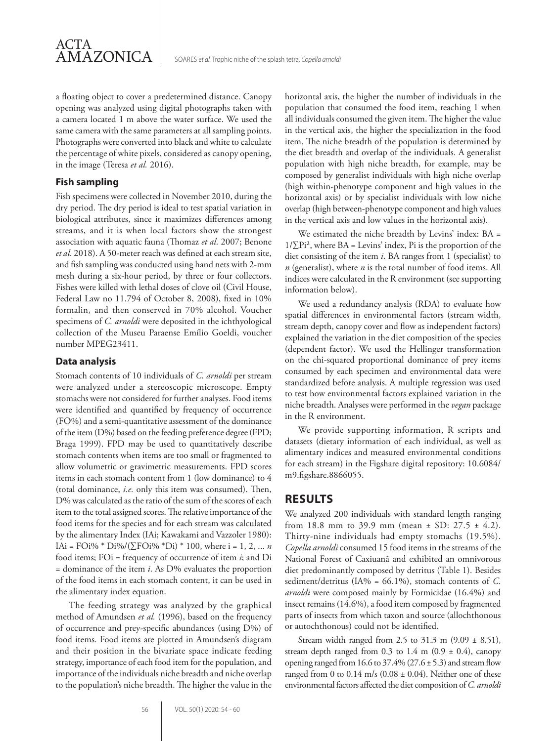

a floating object to cover a predetermined distance. Canopy opening was analyzed using digital photographs taken with a camera located 1 m above the water surface. We used the same camera with the same parameters at all sampling points. Photographs were converted into black and white to calculate the percentage of white pixels, considered as canopy opening, in the image (Teresa *et al.* 2016).

#### **Fish sampling**

Fish specimens were collected in November 2010, during the dry period. The dry period is ideal to test spatial variation in biological attributes, since it maximizes differences among streams, and it is when local factors show the strongest association with aquatic fauna (Thomaz *et al*. 2007; Benone *et al*. 2018). A 50-meter reach was defined at each stream site, and fish sampling was conducted using hand nets with 2-mm mesh during a six-hour period, by three or four collectors. Fishes were killed with lethal doses of clove oil (Civil House, Federal Law no 11.794 of October 8, 2008), fixed in 10% formalin, and then conserved in 70% alcohol. Voucher specimens of *C. arnoldi* were deposited in the ichthyological collection of the Museu Paraense Emílio Goeldi, voucher number MPEG23411.

#### **Data analysis**

Stomach contents of 10 individuals of *C. arnoldi* per stream were analyzed under a stereoscopic microscope. Empty stomachs were not considered for further analyses. Food items were identified and quantified by frequency of occurrence (FO%) and a semi-quantitative assessment of the dominance of the item (D%) based on the feeding preference degree (FPD; Braga 1999). FPD may be used to quantitatively describe stomach contents when items are too small or fragmented to allow volumetric or gravimetric measurements. FPD scores items in each stomach content from 1 (low dominance) to 4 (total dominance, *i.e.* only this item was consumed). Then, D% was calculated as the ratio of the sum of the scores of each item to the total assigned scores. The relative importance of the food items for the species and for each stream was calculated by the alimentary Index (IAi; Kawakami and Vazzoler 1980): IAi = FOi% \* Di%/(∑FOi% \*Di) \* 100, where i = 1, 2, ... *n* food items; FOi = frequency of occurrence of item *i*; and Di  $=$  dominance of the item *i*. As D% evaluates the proportion of the food items in each stomach content, it can be used in the alimentary index equation.

The feeding strategy was analyzed by the graphical method of Amundsen *et al.* (1996), based on the frequency of occurrence and prey-specific abundances (using D%) of food items. Food items are plotted in Amundsen's diagram and their position in the bivariate space indicate feeding strategy, importance of each food item for the population, and importance of the individuals niche breadth and niche overlap to the population's niche breadth. The higher the value in the horizontal axis, the higher the number of individuals in the population that consumed the food item, reaching 1 when all individuals consumed the given item. The higher the value in the vertical axis, the higher the specialization in the food item. The niche breadth of the population is determined by the diet breadth and overlap of the individuals. A generalist population with high niche breadth, for example, may be composed by generalist individuals with high niche overlap (high within-phenotype component and high values in the horizontal axis) or by specialist individuals with low niche overlap (high between-phenotype component and high values in the vertical axis and low values in the horizontal axis).

We estimated the niche breadth by Levins' index: BA =  $1/\sum P_i^2$ , where BA = Levins' index, Pi is the proportion of the diet consisting of the item *i*. BA ranges from 1 (specialist) to *n* (generalist), where *n* is the total number of food items. All indices were calculated in the R environment (see supporting information below).

We used a redundancy analysis (RDA) to evaluate how spatial differences in environmental factors (stream width, stream depth, canopy cover and flow as independent factors) explained the variation in the diet composition of the species (dependent factor). We used the Hellinger transformation on the chi-squared proportional dominance of prey items consumed by each specimen and environmental data were standardized before analysis. A multiple regression was used to test how environmental factors explained variation in the niche breadth. Analyses were performed in the *vegan* package in the R environment.

We provide supporting information, R scripts and datasets (dietary information of each individual, as well as alimentary indices and measured environmental conditions for each stream) in the Figshare digital repository: 10.6084/ m9.figshare.8866055.

## **RESULTS**

We analyzed 200 individuals with standard length ranging from 18.8 mm to 39.9 mm (mean  $\pm$  SD: 27.5  $\pm$  4.2). Thirty-nine individuals had empty stomachs (19.5%). *Copella arnoldi* consumed 15 food items in the streams of the National Forest of Caxiuanã and exhibited an omnivorous diet predominantly composed by detritus (Table 1). Besides sediment/detritus (IA% = 66.1%), stomach contents of *C. arnoldi* were composed mainly by Formicidae (16.4%) and insect remains (14.6%), a food item composed by fragmented parts of insects from which taxon and source (allochthonous or autochthonous) could not be identified.

Stream width ranged from 2.5 to 31.3 m  $(9.09 \pm 8.51)$ , stream depth ranged from 0.3 to 1.4 m  $(0.9 \pm 0.4)$ , canopy opening ranged from 16.6 to  $37.4\%$  ( $27.6 \pm 5.3$ ) and stream flow ranged from 0 to  $0.14$  m/s ( $0.08 \pm 0.04$ ). Neither one of these environmental factors affected the diet composition of *C. arnoldi*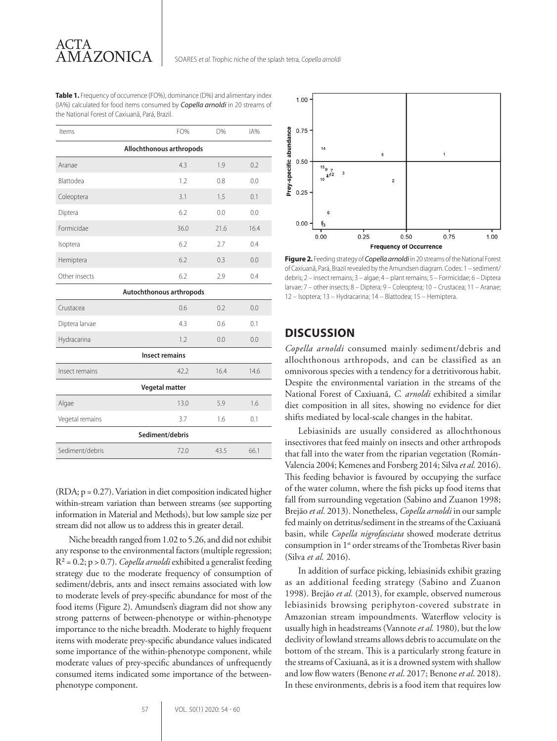**Table 1.** Frequency of occurrence (FO%), dominance (D%) and alimentary index (IA%) calculated for food items consumed by *Copella arnoldi* in 20 streams of the National Forest of Caxiuanã, Pará, Brazil.

| Items                    | FO%  | D%   | IA%  |
|--------------------------|------|------|------|
| Allochthonous arthropods |      |      |      |
| Aranae                   | 4.3  | 1.9  | 0.2  |
| Blattodea                | 1.2  | 0.8  | 0.0  |
| Coleoptera               | 3.1  | 1.5  | 0.1  |
| Diptera                  | 6.2  | 0.0  | 0.0  |
| Formicidae               | 36.0 | 21.6 | 16.4 |
| Isoptera                 | 6.2  | 2.7  | 0.4  |
| Hemiptera                | 6.2  | 0.3  | 0.0  |
| Other insects            | 6.2  | 2.9  | 0.4  |
| Autochthonous arthropods |      |      |      |
| Crustacea                | 0.6  | 0.2  | 0.0  |
| Diptera larvae           | 4.3  | 0.6  | 0.1  |
| Hydracarina              | 1.2  | 0.0  | 0.0  |
| <b>Insect remains</b>    |      |      |      |
| Insect remains           | 42.2 | 16.4 | 14.6 |
| <b>Vegetal matter</b>    |      |      |      |
| Algae                    | 13.0 | 5.9  | 1.6  |
| Vegetal remains          | 3.7  | 1.6  | 0.1  |
| Sediment/debris          |      |      |      |
| Sediment/debris          | 72.0 | 43.5 | 66.1 |

(RDA; p = 0.27). Variation in diet composition indicated higher within-stream variation than between streams (see supporting information in Material and Methods), but low sample size per stream did not allow us to address this in greater detail.

Niche breadth ranged from 1.02 to 5.26, and did not exhibit any response to the environmental factors (multiple regression; R² = 0.2; p > 0.7). *Copella arnoldi* exhibited a generalist feeding strategy due to the moderate frequency of consumption of sediment/debris, ants and insect remains associated with low to moderate levels of prey-specific abundance for most of the food items (Figure 2). Amundsen's diagram did not show any strong patterns of between-phenotype or within-phenotype importance to the niche breadth. Moderate to highly frequent items with moderate prey-specific abundance values indicated some importance of the within-phenotype component, while moderate values of prey-specific abundances of unfrequently consumed items indicated some importance of the betweenphenotype component.



**Figure 2.** Feeding strategy of *Copella arnoldi* in 20 streams of the National Forest of Caxiuanã, Pará, Brazil revealed by the Amundsen diagram. Codes: 1 – sediment/ debris; 2 – insect remains; 3 – algae; 4 – plant remains; 5 – Formicidae; 6 – Diptera larvae; 7 – other insects; 8 – Diptera; 9 – Coleoptera; 10 – Crustacea; 11 – Aranae; 12 – Isoptera; 13 – Hydracarina; 14 – Blattodea; 15 – Hemiptera.

### **DISCUSSION**

*Copella arnoldi* consumed mainly sediment/debris and allochthonous arthropods, and can be classified as an omnivorous species with a tendency for a detritivorous habit. Despite the environmental variation in the streams of the National Forest of Caxiuanã, *C. arnoldi* exhibited a similar diet composition in all sites, showing no evidence for diet shifts mediated by local-scale changes in the habitat.

Lebiasinids are usually considered as allochthonous insectivores that feed mainly on insects and other arthropods that fall into the water from the riparian vegetation (Román-Valencia 2004; Kemenes and Forsberg 2014; Silva *et al.* 2016). This feeding behavior is favoured by occupying the surface of the water column, where the fish picks up food items that fall from surrounding vegetation (Sabino and Zuanon 1998; Brejão *et al.* 2013). Nonetheless, *Copella arnoldi* in our sample fed mainly on detritus/sediment in the streams of the Caxiuanã basin, while *Copella nigrofasciata* showed moderate detritus consumption in 1st order streams of the Trombetas River basin (Silva *et al.* 2016).

In addition of surface picking, lebiasinids exhibit grazing as an additional feeding strategy (Sabino and Zuanon 1998). Brejão *et al.* (2013), for example, observed numerous lebiasinids browsing periphyton-covered substrate in Amazonian stream impoundments. Waterflow velocity is usually high in headstreams (Vannote *et al.* 1980), but the low declivity of lowland streams allows debris to accumulate on the bottom of the stream. This is a particularly strong feature in the streams of Caxiuanã, as it is a drowned system with shallow and low flow waters (Benone *et al*. 2017; Benone *et al*. 2018). In these environments, debris is a food item that requires low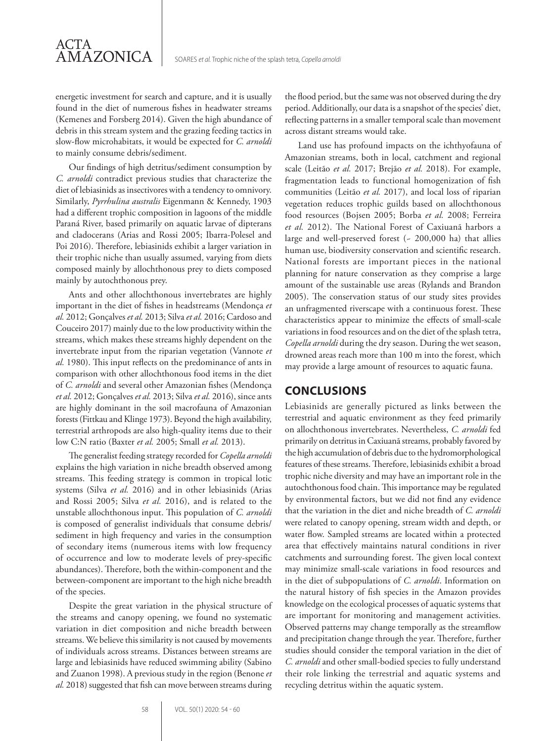energetic investment for search and capture, and it is usually found in the diet of numerous fishes in headwater streams (Kemenes and Forsberg 2014). Given the high abundance of debris in this stream system and the grazing feeding tactics in slow-flow microhabitats, it would be expected for *C. arnoldi* to mainly consume debris/sediment.

ACTA

AMAZONICA

Our findings of high detritus/sediment consumption by *C. arnoldi* contradict previous studies that characterize the diet of lebiasinids as insectivores with a tendency to omnivory. Similarly, *Pyrrhulina australis* Eigenmann & Kennedy, 1903 had a different trophic composition in lagoons of the middle Paraná River, based primarily on aquatic larvae of dipterans and cladocerans (Arias and Rossi 2005; Ibarra-Polesel and Poi 2016). Therefore, lebiasinids exhibit a larger variation in their trophic niche than usually assumed, varying from diets composed mainly by allochthonous prey to diets composed mainly by autochthonous prey.

Ants and other allochthonous invertebrates are highly important in the diet of fishes in headstreams (Mendonça *et al.* 2012; Gonçalves *et al.* 2013; Silva *et al.* 2016; Cardoso and Couceiro 2017) mainly due to the low productivity within the streams, which makes these streams highly dependent on the invertebrate input from the riparian vegetation (Vannote *et al.* 1980). This input reflects on the predominance of ants in comparison with other allochthonous food items in the diet of *C. arnoldi* and several other Amazonian fishes (Mendonça *et al.* 2012; Gonçalves *et al.* 2013; Silva *et al.* 2016), since ants are highly dominant in the soil macrofauna of Amazonian forests (Fittkau and Klinge 1973). Beyond the high availability, terrestrial arthropods are also high-quality items due to their low C:N ratio (Baxter *et al.* 2005; Small *et al.* 2013).

The generalist feeding strategy recorded for *Copella arnoldi* explains the high variation in niche breadth observed among streams. This feeding strategy is common in tropical lotic systems (Silva *et al.* 2016) and in other lebiasinids (Arias and Rossi 2005; Silva *et al.* 2016), and is related to the unstable allochthonous input. This population of *C. arnoldi* is composed of generalist individuals that consume debris/ sediment in high frequency and varies in the consumption of secondary items (numerous items with low frequency of occurrence and low to moderate levels of prey-specific abundances). Therefore, both the within-component and the between-component are important to the high niche breadth of the species.

Despite the great variation in the physical structure of the streams and canopy opening, we found no systematic variation in diet composition and niche breadth between streams. We believe this similarity is not caused by movements of individuals across streams. Distances between streams are large and lebiasinids have reduced swimming ability (Sabino and Zuanon 1998). A previous study in the region (Benone *et al.* 2018) suggested that fish can move between streams during the flood period, but the same was not observed during the dry period. Additionally, our data is a snapshot of the species' diet, reflecting patterns in a smaller temporal scale than movement across distant streams would take.

Land use has profound impacts on the ichthyofauna of Amazonian streams, both in local, catchment and regional scale (Leitão *et al.* 2017; Brejão *et al.* 2018). For example, fragmentation leads to functional homogenization of fish communities (Leitão *et al.* 2017), and local loss of riparian vegetation reduces trophic guilds based on allochthonous food resources (Bojsen 2005; Borba *et al.* 2008; Ferreira *et al.* 2012). The National Forest of Caxiuanã harbors a large and well-preserved forest  $(-200,000$  ha) that allies human use, biodiversity conservation and scientific research. National forests are important pieces in the national planning for nature conservation as they comprise a large amount of the sustainable use areas (Rylands and Brandon 2005). The conservation status of our study sites provides an unfragmented riverscape with a continuous forest. These characteristics appear to minimize the effects of small-scale variations in food resources and on the diet of the splash tetra, *Copella arnoldi* during the dry season. During the wet season, drowned areas reach more than 100 m into the forest, which may provide a large amount of resources to aquatic fauna.

## **CONCLUSIONS**

Lebiasinids are generally pictured as links between the terrestrial and aquatic environment as they feed primarily on allochthonous invertebrates. Nevertheless, *C. arnoldi* fed primarily on detritus in Caxiuanã streams, probably favored by the high accumulation of debris due to the hydromorphological features of these streams. Therefore, lebiasinids exhibit a broad trophic niche diversity and may have an important role in the autochthonous food chain. This importance may be regulated by environmental factors, but we did not find any evidence that the variation in the diet and niche breadth of *C. arnoldi* were related to canopy opening, stream width and depth, or water flow. Sampled streams are located within a protected area that effectively maintains natural conditions in river catchments and surrounding forest. The given local context may minimize small-scale variations in food resources and in the diet of subpopulations of *C. arnoldi*. Information on the natural history of fish species in the Amazon provides knowledge on the ecological processes of aquatic systems that are important for monitoring and management activities. Observed patterns may change temporally as the streamflow and precipitation change through the year. Therefore, further studies should consider the temporal variation in the diet of *C. arnoldi* and other small-bodied species to fully understand their role linking the terrestrial and aquatic systems and recycling detritus within the aquatic system.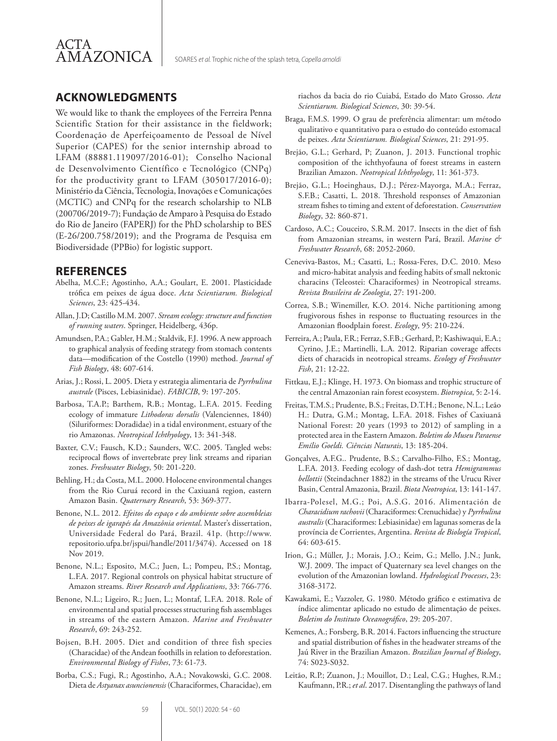

## **ACKNOWLEDGMENTS**

We would like to thank the employees of the Ferreira Penna Scientific Station for their assistance in the fieldwork; Coordenação de Aperfeiçoamento de Pessoal de Nível Superior (CAPES) for the senior internship abroad to LFAM (88881.119097/2016-01); Conselho Nacional de Desenvolvimento Científico e Tecnológico (CNPq) for the productivity grant to LFAM (305017/2016-0); Ministério da Ciência, Tecnologia, Inovações e Comunicações (MCTIC) and CNPq for the research scholarship to NLB (200706/2019-7); Fundação de Amparo à Pesquisa do Estado do Rio de Janeiro (FAPERJ) for the PhD scholarship to BES (E-26/200.758/2019); and the Programa de Pesquisa em Biodiversidade (PPBio) for logistic support.

## **REFERENCES**

- Abelha, M.C.F.; Agostinho, A.A.; Goulart, E. 2001. Plasticidade trófica em peixes de água doce. *Acta Scientiarum. Biological Sciences*, 23: 425-434.
- Allan, J.D; Castillo M.M. 2007. *Stream ecology: structure and function of running waters*. Springer, Heidelberg, 436p.
- Amundsen, P.A.; Gabler, H.M.; Staldvik, F.J. 1996. A new approach to graphical analysis of feeding strategy from stomach contents data—modification of the Costello (1990) method. *Journal of Fish Biology*, 48: 607-614.
- Arias, J.; Rossi, L. 2005. Dieta y estrategia alimentaria de *Pyrrhulina australe* (Pisces, Lebiasinidae). *FABICIB*, 9: 197-205.
- Barbosa, T.A.P.; Barthem, R.B.; Montag, L.F.A. 2015. Feeding ecology of immature *Lithodoras dorsalis* (Valenciennes, 1840) (Siluriformes: Doradidae) in a tidal environment, estuary of the rio Amazonas. *Neotropical Ichthyology*, 13: 341-348.
- Baxter, C.V.; Fausch, K.D.; Saunders, W.C. 2005. Tangled webs: reciprocal flows of invertebrate prey link streams and riparian zones. *Freshwater Biology*, 50: 201-220.
- Behling, H.; da Costa, M.L. 2000. Holocene environmental changes from the Rio Curuá record in the Caxiuanã region, eastern Amazon Basin. *Quaternary Research*, 53: 369-377.
- Benone, N.L. 2012. *Efeitos do espaço e do ambiente sobre assembleias de peixes de igarapés da Amazônia oriental*. Master's dissertation, Universidade Federal do Pará, Brazil. 41p. (http://www. repositorio.ufpa.br/jspui/handle/2011/3474). Accessed on 18 Nov 2019.
- Benone, N.L.; Esposito, M.C.; Juen, L.; Pompeu, P.S.; Montag, L.F.A. 2017. Regional controls on physical habitat structure of Amazon streams. *River Research and Applications*, 33: 766-776.
- Benone, N.L.; Ligeiro, R.; Juen, L.; Montaf, L.F.A. 2018. Role of environmental and spatial processes structuring fish assemblages in streams of the eastern Amazon. *Marine and Freshwater Research*, 69: 243-252.
- Bojsen, B.H. 2005. Diet and condition of three fish species (Characidae) of the Andean foothills in relation to deforestation. *Environmental Biology of Fishes*, 73: 61-73.
- Borba, C.S.; Fugi, R.; Agostinho, A.A.; Novakowski, G.C. 2008. Dieta de *Astyanax asuncionensis* (Characiformes, Characidae), em

riachos da bacia do rio Cuiabá, Estado do Mato Grosso. *Acta Scientiarum. Biological Sciences*, 30: 39-54.

- Braga, F.M.S. 1999. O grau de preferência alimentar: um método qualitativo e quantitativo para o estudo do conteúdo estomacal de peixes. *Acta Scientiarum. Biological Sciences*, 21: 291-95.
- Brejão, G.L.; Gerhard, P; Zuanon, J. 2013. Functional trophic composition of the ichthyofauna of forest streams in eastern Brazilian Amazon. *Neotropical Ichthyology*, 11: 361-373.
- Brejão, G.L.; Hoeinghaus, D.J.; Pérez-Mayorga, M.A.; Ferraz, S.F.B.; Casatti, L. 2018. Threshold responses of Amazonian stream fishes to timing and extent of deforestation. *Conservation Biology*, 32: 860-871.
- Cardoso, A.C.; Couceiro, S.R.M. 2017. Insects in the diet of fish from Amazonian streams, in western Pará, Brazil. *Marine & Freshwater Research*, 68: 2052-2060.
- Ceneviva-Bastos, M.; Casatti, L.; Rossa-Feres, D.C. 2010. Meso and micro-habitat analysis and feeding habits of small nektonic characins (Teleostei: Characiformes) in Neotropical streams. *Revista Brasileira de Zoologia*, 27: 191-200.
- Correa, S.B.; Winemiller, K.O. 2014. Niche partitioning among frugivorous fishes in response to fluctuating resources in the Amazonian floodplain forest. *Ecology*, 95: 210-224.
- Ferreira, A.; Paula, F.R.; Ferraz, S.F.B.; Gerhard, P.; Kashiwaqui, E.A.; Cyrino, J.E.; Martinelli, L.A. 2012. Riparian coverage affects diets of characids in neotropical streams. *Ecology of Freshwater Fish*, 21: 12-22.
- Fittkau, E.J.; Klinge, H. 1973. On biomass and trophic structure of the central Amazonian rain forest ecosystem. *Biotropica*, 5: 2-14.
- Freitas, T.M.S.; Prudente, B.S.; Freitas, D.T.H.; Benone, N.L.; Leão H.: Dutra, G.M.; Montag, L.F.A. 2018. Fishes of Caxiuanã National Forest: 20 years (1993 to 2012) of sampling in a protected area in the Eastern Amazon. *Boletim do Museu Paraense Emílio Goeldi. Ciências Naturais*, 13: 185-204.
- Gonçalves, A.F.G.. Prudente, B.S.; Carvalho-Filho, F.S.; Montag, L.F.A. 2013. Feeding ecology of dash-dot tetra *Hemigrammus bellottii* (Steindachner 1882) in the streams of the Urucu River Basin, Central Amazonia, Brazil. *Biota Neotropica*, 13: 141-147.
- Ibarra-Polesel, M.G.; Poi, A.S.G. 2016. Alimentación de *Characidium rachovii* (Characiformes: Crenuchidae) y *Pyrrhulina australis* (Characiformes: Lebiasinidae) em lagunas someras de la província de Corrientes, Argentina. *Revista de Biología Tropical*, 64: 603-615.
- Irion, G.; Müller, J.; Morais, J.O.; Keim, G.; Mello, J.N.; Junk, W.J. 2009. The impact of Quaternary sea level changes on the evolution of the Amazonian lowland. *Hydrological Processes*, 23: 3168-3172.
- Kawakami, E.; Vazzoler, G. 1980. Método gráfico e estimativa de índice alimentar aplicado no estudo de alimentação de peixes. *Boletim do Instituto Oceanográfico*, 29: 205-207.
- Kemenes, A.; Forsberg, B.R. 2014. Factors influencing the structure and spatial distribution of fishes in the headwater streams of the Jaú River in the Brazilian Amazon. *Brazilian Journal of Biology*, 74: S023-S032.
- Leitão, R.P.; Zuanon, J.; Mouillot, D.; Leal, C.G.; Hughes, R.M.; Kaufmann, P.R.; *et al*. 2017. Disentangling the pathways of land